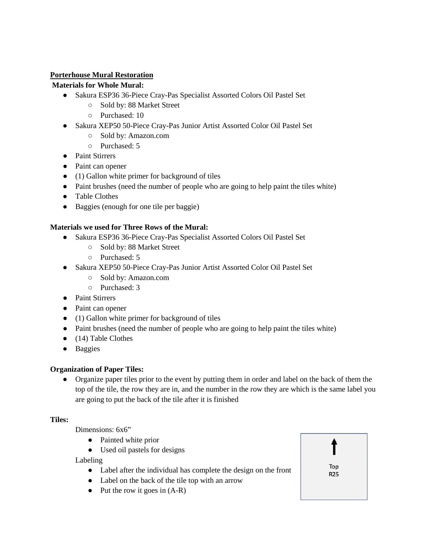### **Porterhouse Mural Restoration**

### **Materials for Whole Mural:**

- Sakura ESP36 36-Piece Cray-Pas Specialist Assorted Colors Oil Pastel Set
	- Sold by: 88 Market Street
	- Purchased: 10
- Sakura XEP50 50-Piece Cray-Pas Junior Artist Assorted Color Oil Pastel Set
	- Sold by: Amazon.com
	- Purchased: 5
- Paint Stirrers
- Paint can opener
- (1) Gallon white primer for background of tiles
- Paint brushes (need the number of people who are going to help paint the tiles white)
- Table Clothes
- Baggies (enough for one tile per baggie)

### **Materials we used for Three Rows of the Mural:**

- Sakura ESP36 36-Piece Cray-Pas Specialist Assorted Colors Oil Pastel Set
	- Sold by: 88 Market Street
	- Purchased: 5
- Sakura XEP50 50-Piece Cray-Pas Junior Artist Assorted Color Oil Pastel Set
	- Sold by: Amazon.com
	- Purchased: 3
- Paint Stirrers
- Paint can opener
- (1) Gallon white primer for background of tiles
- Paint brushes (need the number of people who are going to help paint the tiles white)
- (14) Table Clothes
- Baggies

### **Organization of Paper Tiles:**

● Organize paper tiles prior to the event by putting them in order and label on the back of them the top of the tile, the row they are in, and the number in the row they are which is the same label you are going to put the back of the tile after it is finished

### **Tiles:**

Dimensions: 6x6"

- Painted white prior
- Used oil pastels for designs

Labeling

- Label after the individual has complete the design on the front
- Label on the back of the tile top with an arrow
- $\bullet$  Put the row it goes in  $(A-R)$

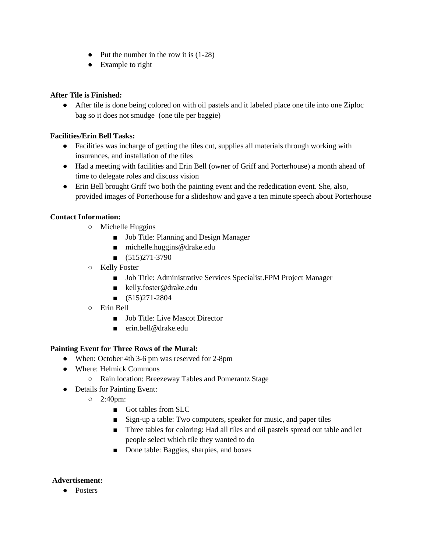- $\bullet$  Put the number in the row it is  $(1-28)$
- Example to right

### **After Tile is Finished:**

● After tile is done being colored on with oil pastels and it labeled place one tile into one Ziploc bag so it does not smudge (one tile per baggie)

# **Facilities/Erin Bell Tasks:**

- Facilities was incharge of getting the tiles cut, supplies all materials through working with insurances, and installation of the tiles
- Had a meeting with facilities and Erin Bell (owner of Griff and Porterhouse) a month ahead of time to delegate roles and discuss vision
- Erin Bell brought Griff two both the painting event and the rededication event. She, also, provided images of Porterhouse for a slideshow and gave a ten minute speech about Porterhouse

# **Contact Information:**

- Michelle Huggins
	- Job Title: Planning and Design Manager
	- michelle.huggins@drake.edu
	- $\blacksquare$  (515)271-3790
- Kelly Foster
	- Job Title: Administrative Services Specialist.FPM Project Manager
	- kelly.foster@drake.edu
	- $\Box$  (515)271-2804
- Erin Bell
	- Job Title: Live Mascot Director
	- erin.bell@drake.edu

### **Painting Event for Three Rows of the Mural:**

- When: October 4th 3-6 pm was reserved for 2-8pm
- Where: Helmick Commons
	- Rain location: Breezeway Tables and Pomerantz Stage
- Details for Painting Event:
	- 2:40pm:
		- Got tables from SLC
		- Sign-up a table: Two computers, speaker for music, and paper tiles
		- Three tables for coloring: Had all tiles and oil pastels spread out table and let people select which tile they wanted to do
		- Done table: Baggies, sharpies, and boxes

### **Advertisement:**

● Posters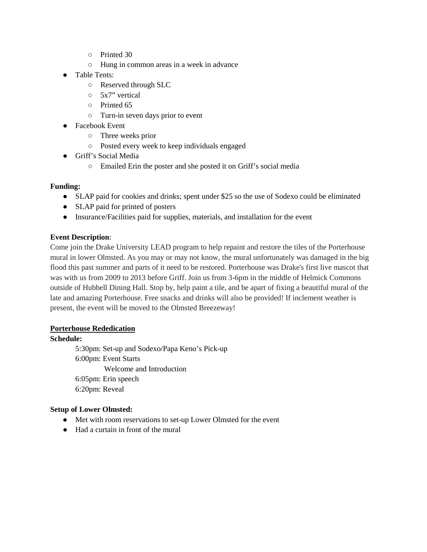- Printed 30
- Hung in common areas in a week in advance
- Table Tents:
	- Reserved through SLC
	- 5x7" vertical
	- Printed 65
	- Turn-in seven days prior to event
- Facebook Event
	- Three weeks prior
	- Posted every week to keep individuals engaged
- Griff's Social Media
	- Emailed Erin the poster and she posted it on Griff's social media

#### **Funding:**

- SLAP paid for cookies and drinks; spent under \$25 so the use of Sodexo could be eliminated
- SLAP paid for printed of posters
- Insurance/Facilities paid for supplies, materials, and installation for the event

#### **Event Description**:

Come join the Drake University LEAD program to help repaint and restore the tiles of the Porterhouse mural in lower Olmsted. As you may or may not know, the mural unfortunately was damaged in the big flood this past summer and parts of it need to be restored. Porterhouse was Drake's first live mascot that was with us from 2009 to 2013 before Griff. Join us from 3-6pm in the middle of Helmick Commons outside of Hubbell Dining Hall. Stop by, help paint a tile, and be apart of fixing a beautiful mural of the late and amazing Porterhouse. Free snacks and drinks will also be provided! If inclement weather is present, the event will be moved to the Olmsted Breezeway!

#### **Porterhouse Rededication**

#### **Schedule:**

5:30pm: Set-up and Sodexo/Papa Keno's Pick-up 6:00pm: Event Starts Welcome and Introduction 6:05pm: Erin speech 6:20pm: Reveal

#### **Setup of Lower Olmsted:**

- Met with room reservations to set-up Lower Olmsted for the event
- Had a curtain in front of the mural